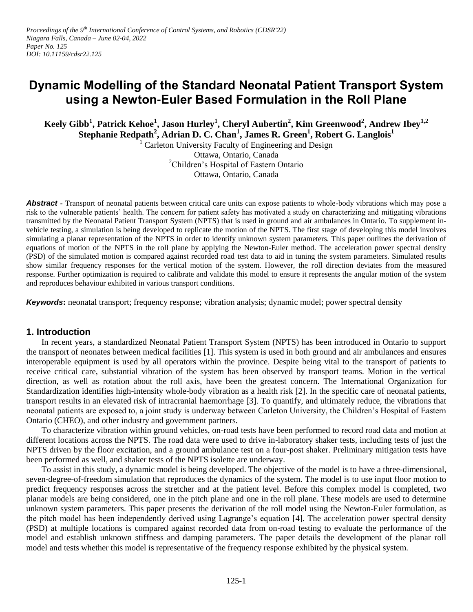# **Dynamic Modelling of the Standard Neonatal Patient Transport System using a Newton-Euler Based Formulation in the Roll Plane**

**Keely Gibb<sup>1</sup> , Patrick Kehoe<sup>1</sup> , Jason Hurley<sup>1</sup> , Cheryl Aubertin<sup>2</sup> , Kim Greenwood<sup>2</sup> , Andrew Ibey1,2 Stephanie Redpath<sup>2</sup> , Adrian D. C. Chan<sup>1</sup> , James R. Green<sup>1</sup> , Robert G. Langlois<sup>1</sup>**

 $1$  Carleton University Faculty of Engineering and Design Ottawa, Ontario, Canada <sup>2</sup>Children's Hospital of Eastern Ontario Ottawa, Ontario, Canada

**Abstract -** Transport of neonatal patients between critical care units can expose patients to whole-body vibrations which may pose a risk to the vulnerable patients' health. The concern for patient safety has motivated a study on characterizing and mitigating vibrations transmitted by the Neonatal Patient Transport System (NPTS) that is used in ground and air ambulances in Ontario. To supplement invehicle testing, a simulation is being developed to replicate the motion of the NPTS. The first stage of developing this model involves simulating a planar representation of the NPTS in order to identify unknown system parameters. This paper outlines the derivation of equations of motion of the NPTS in the roll plane by applying the Newton-Euler method. The acceleration power spectral density (PSD) of the simulated motion is compared against recorded road test data to aid in tuning the system parameters. Simulated results show similar frequency responses for the vertical motion of the system. However, the roll direction deviates from the measured response. Further optimization is required to calibrate and validate this model to ensure it represents the angular motion of the system and reproduces behaviour exhibited in various transport conditions.

*Keywords***:** neonatal transport; frequency response; vibration analysis; dynamic model; power spectral density

# **1. Introduction**

In recent years, a standardized Neonatal Patient Transport System (NPTS) has been introduced in Ontario to support the transport of neonates between medical facilities [1]. This system is used in both ground and air ambulances and ensures interoperable equipment is used by all operators within the province. Despite being vital to the transport of patients to receive critical care, substantial vibration of the system has been observed by transport teams. Motion in the vertical direction, as well as rotation about the roll axis, have been the greatest concern. The International Organization for Standardization identifies high-intensity whole-body vibration as a health risk [2]. In the specific care of neonatal patients, transport results in an elevated risk of intracranial haemorrhage [3]. To quantify, and ultimately reduce, the vibrations that neonatal patients are exposed to, a joint study is underway between Carleton University, the Children's Hospital of Eastern Ontario (CHEO), and other industry and government partners.

To characterize vibration within ground vehicles, on-road tests have been performed to record road data and motion at different locations across the NPTS. The road data were used to drive in-laboratory shaker tests, including tests of just the NPTS driven by the floor excitation, and a ground ambulance test on a four-post shaker. Preliminary mitigation tests have been performed as well, and shaker tests of the NPTS isolette are underway.

To assist in this study, a dynamic model is being developed. The objective of the model is to have a three-dimensional, seven-degree-of-freedom simulation that reproduces the dynamics of the system. The model is to use input floor motion to predict frequency responses across the stretcher and at the patient level. Before this complex model is completed, two planar models are being considered, one in the pitch plane and one in the roll plane. These models are used to determine unknown system parameters. This paper presents the derivation of the roll model using the Newton-Euler formulation, as the pitch model has been independently derived using Lagrange's equation [4]. The acceleration power spectral density (PSD) at multiple locations is compared against recorded data from on-road testing to evaluate the performance of the model and establish unknown stiffness and damping parameters. The paper details the development of the planar roll model and tests whether this model is representative of the frequency response exhibited by the physical system.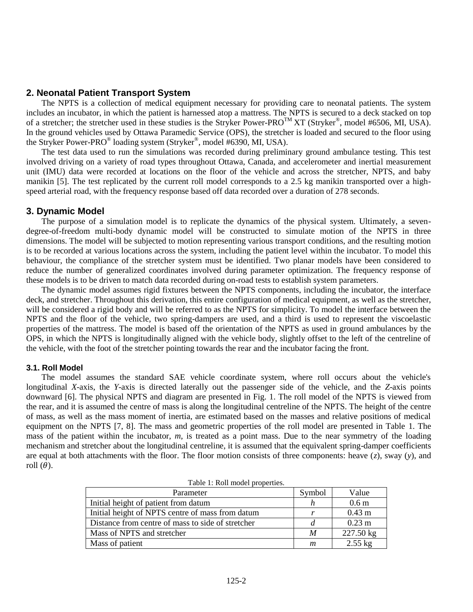# **2. Neonatal Patient Transport System**

The NPTS is a collection of medical equipment necessary for providing care to neonatal patients. The system includes an incubator, in which the patient is harnessed atop a mattress. The NPTS is secured to a deck stacked on top of a stretcher; the stretcher used in these studies is the Stryker Power-PRO<sup>TM</sup> XT (Stryker<sup>®</sup>, model #6506, MI, USA). In the ground vehicles used by Ottawa Paramedic Service (OPS), the stretcher is loaded and secured to the floor using the Stryker Power-PRO<sup>®</sup> loading system (Stryker®, model #6390, MI, USA).

The test data used to run the simulations was recorded during preliminary ground ambulance testing. This test involved driving on a variety of road types throughout Ottawa, Canada, and accelerometer and inertial measurement unit (IMU) data were recorded at locations on the floor of the vehicle and across the stretcher, NPTS, and baby manikin [5]. The test replicated by the current roll model corresponds to a 2.5 kg manikin transported over a highspeed arterial road, with the frequency response based off data recorded over a duration of 278 seconds.

# **3. Dynamic Model**

The purpose of a simulation model is to replicate the dynamics of the physical system. Ultimately, a sevendegree-of-freedom multi-body dynamic model will be constructed to simulate motion of the NPTS in three dimensions. The model will be subjected to motion representing various transport conditions, and the resulting motion is to be recorded at various locations across the system, including the patient level within the incubator. To model this behaviour, the compliance of the stretcher system must be identified. Two planar models have been considered to reduce the number of generalized coordinates involved during parameter optimization. The frequency response of these models is to be driven to match data recorded during on-road tests to establish system parameters.

The dynamic model assumes rigid fixtures between the NPTS components, including the incubator, the interface deck, and stretcher. Throughout this derivation, this entire configuration of medical equipment, as well as the stretcher, will be considered a rigid body and will be referred to as the NPTS for simplicity. To model the interface between the NPTS and the floor of the vehicle, two spring-dampers are used, and a third is used to represent the viscoelastic properties of the mattress. The model is based off the orientation of the NPTS as used in ground ambulances by the OPS, in which the NPTS is longitudinally aligned with the vehicle body, slightly offset to the left of the centreline of the vehicle, with the foot of the stretcher pointing towards the rear and the incubator facing the front.

# **3.1. Roll Model**

The model assumes the standard SAE vehicle coordinate system, where roll occurs about the vehicle's longitudinal *X*-axis, the *Y*-axis is directed laterally out the passenger side of the vehicle, and the *Z*-axis points downward [6]. The physical NPTS and diagram are presented in Fig. 1. The roll model of the NPTS is viewed from the rear, and it is assumed the centre of mass is along the longitudinal centreline of the NPTS. The height of the centre of mass, as well as the mass moment of inertia, are estimated based on the masses and relative positions of medical equipment on the NPTS [7, 8]. The mass and geometric properties of the roll model are presented in Table 1. The mass of the patient within the incubator, *m*, is treated as a point mass. Due to the near symmetry of the loading mechanism and stretcher about the longitudinal centreline, it is assumed that the equivalent spring-damper coefficients are equal at both attachments with the floor. The floor motion consists of three components: heave (*z*), sway (*y*), and roll  $(\theta)$ .

| Table 1: Roll model properties.                   |        |                   |
|---------------------------------------------------|--------|-------------------|
| Parameter                                         | Symbol | Value             |
| Initial height of patient from datum              |        | 0.6 <sub>m</sub>  |
| Initial height of NPTS centre of mass from datum  | r      | $0.43$ m          |
| Distance from centre of mass to side of stretcher | d      | $0.23$ m          |
| Mass of NPTS and stretcher                        | M      | 227.50 kg         |
| Mass of patient                                   | m      | $2.55 \text{ kg}$ |

Table 1: Roll model properties.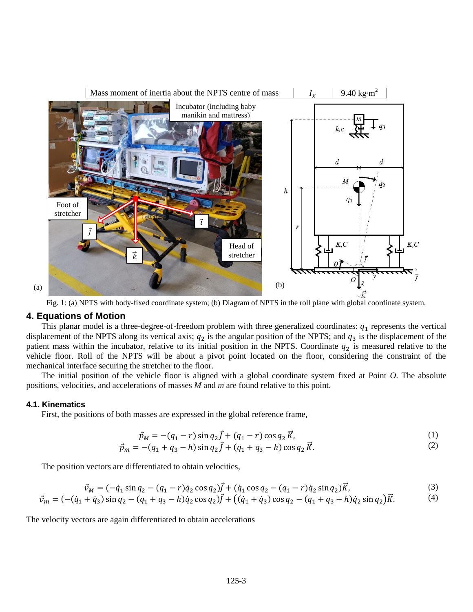

Fig. 1: (a) NPTS with body-fixed coordinate system; (b) Diagram of NPTS in the roll plane with global coordinate system.

### **4. Equations of Motion**

This planar model is a three-degree-of-freedom problem with three generalized coordinates:  $q_1$  represents the vertical displacement of the NPTS along its vertical axis;  $q_2$  is the angular position of the NPTS; and  $q_3$  is the displacement of the patient mass within the incubator, relative to its initial position in the NPTS. Coordinate  $q_2$  is measured relative to the vehicle floor. Roll of the NPTS will be about a pivot point located on the floor, considering the constraint of the mechanical interface securing the stretcher to the floor.

The initial position of the vehicle floor is aligned with a global coordinate system fixed at Point *O*. The absolute positions, velocities, and accelerations of masses *M* and *m* are found relative to this point.

#### **4.1. Kinematics**

First, the positions of both masses are expressed in the global reference frame,

$$
\vec{p}_M = -(q_1 - r)\sin q_2 \vec{J} + (q_1 - r)\cos q_2 \vec{K},\tag{1}
$$

$$
\vec{p}_m = -(q_1 + q_3 - h)\sin q_2 \vec{f} + (q_1 + q_3 - h)\cos q_2 \vec{K}.
$$
\n(2)

The position vectors are differentiated to obtain velocities,

$$
\vec{v}_M = (-\dot{q}_1 \sin q_2 - (q_1 - r)\dot{q}_2 \cos q_2)\vec{J} + (\dot{q}_1 \cos q_2 - (q_1 - r)\dot{q}_2 \sin q_2)\vec{K},\tag{3}
$$

$$
\vec{v}_m = (-(\dot{q}_1 + \dot{q}_3)\sin q_2 - (q_1 + q_3 - h)\dot{q}_2\cos q_2)\vec{J} + ((\dot{q}_1 + \dot{q}_3)\cos q_2 - (q_1 + q_3 - h)\dot{q}_2\sin q_2)\vec{K}.
$$
 (4)

The velocity vectors are again differentiated to obtain accelerations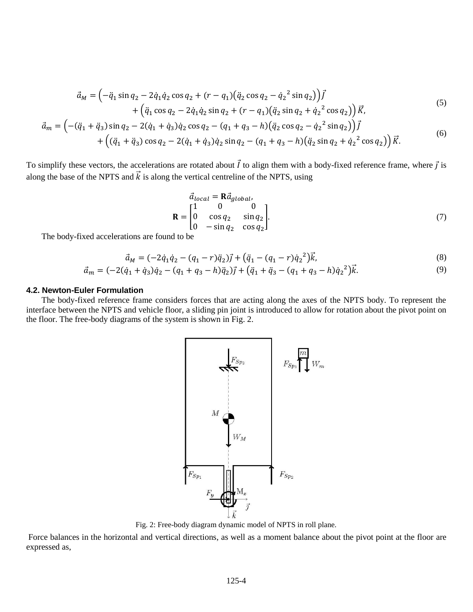$$
\vec{a}_{M} = \left(-\ddot{q}_{1} \sin q_{2} - 2\dot{q}_{1}\dot{q}_{2} \cos q_{2} + (r - q_{1})(\ddot{q}_{2} \cos q_{2} - \dot{q}_{2}^{2} \sin q_{2})\right)\vec{I} + \left(\ddot{q}_{1} \cos q_{2} - 2\dot{q}_{1}\dot{q}_{2} \sin q_{2} + (r - q_{1})(\ddot{q}_{2} \sin q_{2} + \dot{q}_{2}^{2} \cos q_{2})\right)\vec{K},
$$
\n
$$
\vec{a}_{m} = \left(-(\ddot{q}_{1} + \ddot{q}_{3}) \sin q_{2} - 2(\dot{q}_{1} + \dot{q}_{3})\dot{q}_{2} \cos q_{2} - (q_{1} + q_{3} - h)(\ddot{q}_{2} \cos q_{2} - \dot{q}_{2}^{2} \sin q_{2})\right)\vec{I} + \left((\ddot{q}_{1} + \ddot{q}_{3}) \cos q_{2} - 2(\dot{q}_{1} + \dot{q}_{3})\dot{q}_{2} \sin q_{2} - (q_{1} + q_{3} - h)(\ddot{q}_{2} \sin q_{2} + \dot{q}_{2}^{2} \cos q_{2})\right)\vec{K}.
$$
\n(6)

To simplify these vectors, the accelerations are rotated about  $\vec{l}$  to align them with a body-fixed reference frame, where  $\vec{l}$  is along the base of the NPTS and  $\vec{k}$  is along the vertical centreline of the NPTS, using

$$
\vec{a}_{local} = \mathbf{R}\vec{a}_{global},
$$
\n
$$
\mathbf{R} = \begin{bmatrix}\n1 & 0 & 0 \\
0 & \cos q_2 & \sin q_2 \\
0 & -\sin q_2 & \cos q_2\n\end{bmatrix}.
$$
\n(7)

The body-fixed accelerations are found to be

$$
\vec{a}_M = (-2\dot{q}_1\dot{q}_2 - (q_1 - r)\ddot{q}_2)\vec{j} + (\ddot{q}_1 - (q_1 - r)\dot{q}_2^2)\vec{k},\tag{8}
$$

$$
\vec{a}_m = (-2(\dot{q}_1 + \dot{q}_3)\dot{q}_2 - (q_1 + q_3 - h)\ddot{q}_2)\vec{j} + (\ddot{q}_1 + \ddot{q}_3 - (q_1 + q_3 - h)\dot{q}_2^2)\vec{k}.\tag{9}
$$

#### **4.2. Newton-Euler Formulation**

The body-fixed reference frame considers forces that are acting along the axes of the NPTS body. To represent the interface between the NPTS and vehicle floor, a sliding pin joint is introduced to allow for rotation about the pivot point on the floor. The free-body diagrams of the system is shown in Fig. 2.



Fig. 2: Free-body diagram dynamic model of NPTS in roll plane.

Force balances in the horizontal and vertical directions, as well as a moment balance about the pivot point at the floor are expressed as,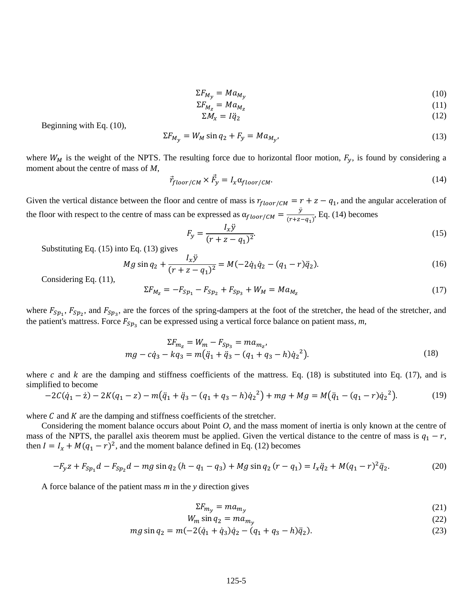$$
\Sigma F_{M_{\nu}} = M a_{M_{\nu}} \tag{10}
$$

$$
\Sigma F_{M_Z} = M a_{M_Z} \tag{11}
$$

$$
\Sigma M_x = I \ddot{q}_2 \tag{12}
$$

Beginning with Eq. (10),

$$
\Sigma F_{M_V} = W_M \sin q_2 + F_V = M a_{M_V},\tag{13}
$$

where  $W_M$  is the weight of the NPTS. The resulting force due to horizontal floor motion,  $F_y$ , is found by considering a moment about the centre of mass of *M*,

$$
\vec{r}_{floor/CM} \times \vec{F}_y = I_x \alpha_{floor/CM}.
$$
\n(14)

Given the vertical distance between the floor and centre of mass is  $r_{floor/CM} = r + z - q_1$ , and the angular acceleration of the floor with respect to the centre of mass can be expressed as  $\alpha_{floor/CM} = \frac{\dot{y}}{C_0 + \sigma}$  $\frac{y}{(r+z-q_1)}$ , Eq. (14) becomes

$$
F_y = \frac{I_x \dot{y}}{(r + z - q_1)^2}.
$$
\n(15)

Substituting Eq. (15) into Eq. (13) gives

$$
Mg\sin q_2 + \frac{I_x\ddot{y}}{(r+z-q_1)^2} = M(-2\dot{q}_1\dot{q}_2 - (q_1-r)\ddot{q}_2). \tag{16}
$$

Considering Eq. (11),

$$
\Sigma F_{M_Z} = -F_{Sp_1} - F_{Sp_2} + F_{Sp_3} + W_M = Ma_{M_Z}
$$
\n(17)

where  $F_{5p_1}$ ,  $F_{5p_2}$ , and  $F_{5p_3}$ , are the forces of the spring-dampers at the foot of the stretcher, the head of the stretcher, and the patient's mattress. Force  $F_{Sp_2}$  can be expressed using a vertical force balance on patient mass,  $m$ ,

$$
\Sigma F_{m_z} = W_m - F_{Sp_3} = ma_{m_z},
$$
  
\n
$$
mg - c\dot{q}_3 - kq_3 = m(\ddot{q}_1 + \ddot{q}_3 - (q_1 + q_3 - h)\dot{q}_2^2).
$$
\n(18)

where c and k are the damping and stiffness coefficients of the mattress. Eq. (18) is substituted into Eq. (17), and is simplified to become

$$
-2C(\dot{q}_1 - \dot{z}) - 2K(q_1 - z) - m(\ddot{q}_1 + \ddot{q}_3 - (q_1 + q_3 - h)\dot{q}_2^2) + mg + Mg = M(\ddot{q}_1 - (q_1 - r)\dot{q}_2^2).
$$
 (19)

where  $C$  and  $K$  are the damping and stiffness coefficients of the stretcher.

Considering the moment balance occurs about Point *O*, and the mass moment of inertia is only known at the centre of mass of the NPTS, the parallel axis theorem must be applied. Given the vertical distance to the centre of mass is  $q_1 - r$ , then  $I = I_x + M(q_1 - r)^2$ , and the moment balance defined in Eq. (12) becomes

$$
-F_y z + F_{\text{Sp}_1} d - F_{\text{Sp}_2} d - mg \sin q_2 (h - q_1 - q_3) + Mg \sin q_2 (r - q_1) = I_x \ddot{q}_2 + M(q_1 - r)^2 \ddot{q}_2. \tag{20}
$$

A force balance of the patient mass *m* in the *y* direction gives

$$
\Sigma F_{m_v} = m a_{m_v} \tag{21}
$$

$$
W_m \sin q_2 = m a_{m_v} \tag{22}
$$

$$
mg\sin q_2 = m(-2(\dot{q}_1 + \dot{q}_3)\dot{q}_2 - (q_1 + q_3 - h)\ddot{q}_2). \tag{23}
$$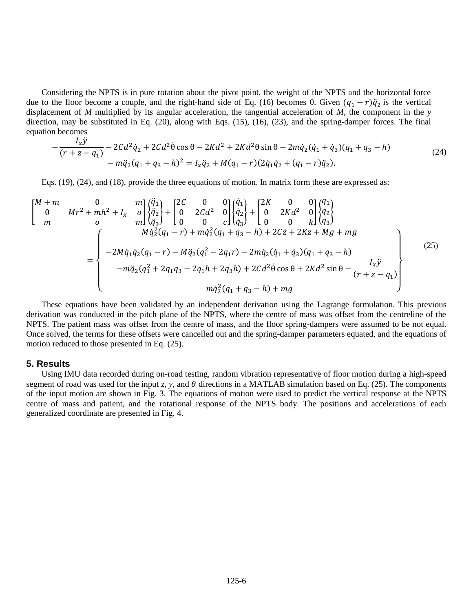Considering the NPTS is in pure rotation about the pivot point, the weight of the NPTS and the horizontal force due to the floor become a couple, and the right-hand side of Eq. (16) becomes 0. Given  $(q_1 - r)\ddot{q}_2$  is the vertical displacement of *M* multiplied by its angular acceleration, the tangential acceleration of *M*, the component in the *y* direction, may be substituted in Eq. (20), along with Eqs. (15), (16), (23), and the spring-damper forces. The final equation becomes

$$
-\frac{I_x \ddot{y}}{(r+z-q_1)} - 2Cd^2 \dot{q}_2 + 2Cd^2 \dot{\theta} \cos \theta - 2Kd^2 + 2Kd^2 \theta \sin \theta - 2m\dot{q}_2(\dot{q}_1 + \dot{q}_3)(q_1 + q_3 - h) - m\ddot{q}_2(q_1 + q_3 - h)^2 = I_x \ddot{q}_2 + M(q_1 - r)(2\dot{q}_1 \dot{q}_2 + (q_1 - r)\ddot{q}_2).
$$
\n(24)

Eqs. (19), (24), and (18), provide the three equations of motion. In matrix form these are expressed as:

$$
\begin{bmatrix} M+m & 0 & m \ 0 & Mr^2 + mh^2 + I_x & 0 \ m & 0 & m \ \end{bmatrix} \begin{Bmatrix} \ddot{q}_1 \\ \ddot{q}_2 \\ \ddot{q}_3 \end{Bmatrix} + \begin{bmatrix} 2C & 0 & 0 \ 0 & 2Cd^2 & 0 \ 0 & 0 & c \ \end{bmatrix} \begin{Bmatrix} \dot{q}_1 \\ \dot{q}_2 \\ \dot{q}_3 \end{Bmatrix} + \begin{bmatrix} 2K & 0 & 0 \ 0 & 2Kd^2 & 0 \ 0 & 0 & k \ \end{bmatrix} \begin{Bmatrix} q_1 \\ q_2 \\ q_3 \end{Bmatrix}
$$
  
= 
$$
\begin{bmatrix} Mq_2^2(q_1 - r) + m\dot{q}_2^2(q_1 + q_3 - h) + 2C\dot{z} + 2Kz + Mg + mg \\ -2M\dot{q}_1\dot{q}_2(q_1 - r) - M\ddot{q}_2(q_1^2 - 2q_1r) - 2m\dot{q}_2(\dot{q}_1 + \dot{q}_3)(q_1 + q_3 - h) \\ -m\ddot{q}_2(q_1^2 + 2q_1q_3 - 2q_1h + 2q_3h) + 2Cd^2\dot{\theta}\cos\theta + 2Kd^2\sin\theta - \frac{I_x\dot{y}}{(r + z - q_1)} \\ m\dot{q}_2^2(q_1 + q_3 - h) + mg \end{bmatrix}
$$
(25)

These equations have been validated by an independent derivation using the Lagrange formulation. This previous derivation was conducted in the pitch plane of the NPTS, where the centre of mass was offset from the centreline of the NPTS. The patient mass was offset from the centre of mass, and the floor spring-dampers were assumed to be not equal. Once solved, the terms for these offsets were cancelled out and the spring-damper parameters equated, and the equations of motion reduced to those presented in Eq. (25).

#### **5. Results**

Using IMU data recorded during on-road testing, random vibration representative of floor motion during a high-speed segment of road was used for the input *z*, *y*, and  $\theta$  directions in a MATLAB simulation based on Eq. (25). The components of the input motion are shown in Fig. 3. The equations of motion were used to predict the vertical response at the NPTS centre of mass and patient, and the rotational response of the NPTS body. The positions and accelerations of each generalized coordinate are presented in Fig. 4.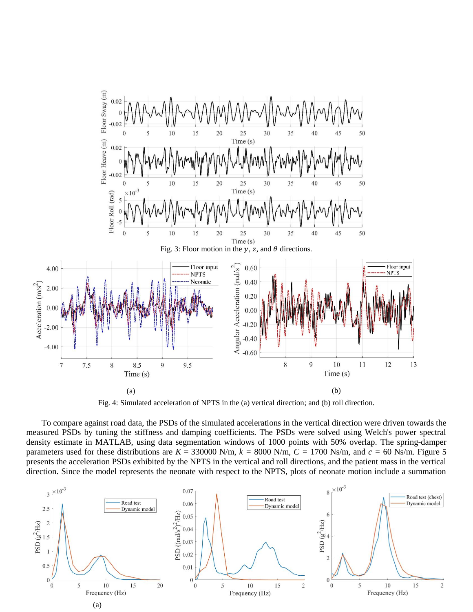

Fig. 4: Simulated acceleration of NPTS in the (a) vertical direction; and (b) roll direction.

To compare against road data, the PSDs of the simulated accelerations in the vertical direction were driven towards the measured PSDs by tuning the stiffness and damping coefficients. The PSDs were solved using Welch's power spectral density estimate in MATLAB, using data segmentation windows of 1000 points with 50% overlap. The spring-damper parameters used for these distributions are  $K = 330000$  N/m,  $k = 8000$  N/m,  $C = 1700$  Ns/m, and  $c = 60$  Ns/m. Figure 5 presents the acceleration PSDs exhibited by the NPTS in the vertical and roll directions, and the patient mass in the vertical direction. Since the model represents the neonate with respect to the NPTS, plots of neonate motion include a summation

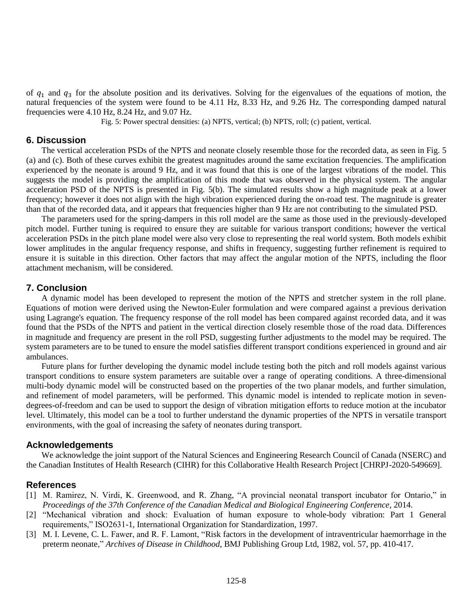of  $q_1$  and  $q_3$  for the absolute position and its derivatives. Solving for the eigenvalues of the equations of motion, the natural frequencies of the system were found to be 4.11 Hz, 8.33 Hz, and 9.26 Hz. The corresponding damped natural frequencies were 4.10 Hz, 8.24 Hz, and 9.07 Hz.

Fig. 5: Power spectral densities: (a) NPTS, vertical; (b) NPTS, roll; (c) patient, vertical.

# **6. Discussion**

The vertical acceleration PSDs of the NPTS and neonate closely resemble those for the recorded data, as seen in Fig. 5 (a) and (c). Both of these curves exhibit the greatest magnitudes around the same excitation frequencies. The amplification experienced by the neonate is around 9 Hz, and it was found that this is one of the largest vibrations of the model. This suggests the model is providing the amplification of this mode that was observed in the physical system. The angular acceleration PSD of the NPTS is presented in Fig. 5(b). The simulated results show a high magnitude peak at a lower frequency; however it does not align with the high vibration experienced during the on-road test. The magnitude is greater than that of the recorded data, and it appears that frequencies higher than 9 Hz are not contributing to the simulated PSD.

The parameters used for the spring-dampers in this roll model are the same as those used in the previously-developed pitch model. Further tuning is required to ensure they are suitable for various transport conditions; however the vertical acceleration PSDs in the pitch plane model were also very close to representing the real world system. Both models exhibit lower amplitudes in the angular frequency response, and shifts in frequency, suggesting further refinement is required to ensure it is suitable in this direction. Other factors that may affect the angular motion of the NPTS, including the floor attachment mechanism, will be considered.

# **7. Conclusion**

A dynamic model has been developed to represent the motion of the NPTS and stretcher system in the roll plane. Equations of motion were derived using the Newton-Euler formulation and were compared against a previous derivation using Lagrange's equation. The frequency response of the roll model has been compared against recorded data, and it was found that the PSDs of the NPTS and patient in the vertical direction closely resemble those of the road data. Differences in magnitude and frequency are present in the roll PSD, suggesting further adjustments to the model may be required. The system parameters are to be tuned to ensure the model satisfies different transport conditions experienced in ground and air ambulances.

Future plans for further developing the dynamic model include testing both the pitch and roll models against various transport conditions to ensure system parameters are suitable over a range of operating conditions. A three-dimensional multi-body dynamic model will be constructed based on the properties of the two planar models, and further simulation, and refinement of model parameters, will be performed. This dynamic model is intended to replicate motion in sevendegrees-of-freedom and can be used to support the design of vibration mitigation efforts to reduce motion at the incubator level. Ultimately, this model can be a tool to further understand the dynamic properties of the NPTS in versatile transport environments, with the goal of increasing the safety of neonates during transport.

# **Acknowledgements**

We acknowledge the joint support of the Natural Sciences and Engineering Research Council of Canada (NSERC) and the Canadian Institutes of Health Research (CIHR) for this Collaborative Health Research Project [CHRPJ-2020-549669].

#### **References**

- [1] M. Ramirez, N. Virdi, K. Greenwood, and R. Zhang, "A provincial neonatal transport incubator for Ontario," in *Proceedings of the 37th Conference of the Canadian Medical and Biological Engineering Conference*, 2014.
- [2] "Mechanical vibration and shock: Evaluation of human exposure to whole-body vibration: Part 1 General requirements," ISO2631-1, International Organization for Standardization, 1997.
- [3] M. I. Levene, C. L. Fawer, and R. F. Lamont, "Risk factors in the development of intraventricular haemorrhage in the preterm neonate," *Archives of Disease in Childhood*, BMJ Publishing Group Ltd, 1982, vol. 57, pp. 410-417.